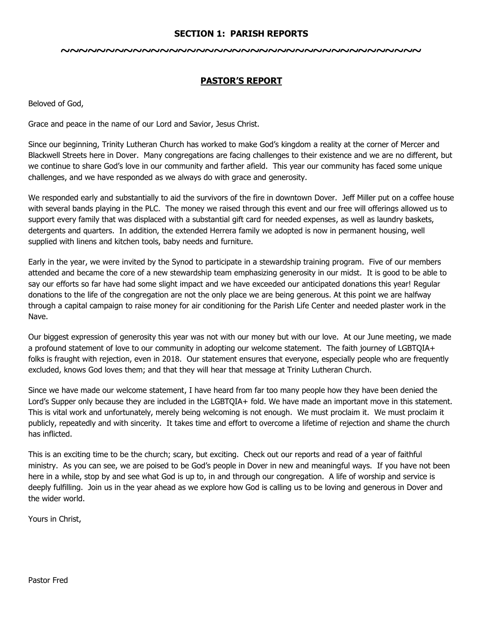#### **SECTION 1: PARISH REPORTS**

#### **~~~~~~~~~~~~~~~~~~~~~~~~~~~~~~~~~~~~~~~~**

## **PASTOR'S REPORT**

Beloved of God,

Grace and peace in the name of our Lord and Savior, Jesus Christ.

Since our beginning, Trinity Lutheran Church has worked to make God's kingdom a reality at the corner of Mercer and Blackwell Streets here in Dover. Many congregations are facing challenges to their existence and we are no different, but we continue to share God's love in our community and farther afield. This year our community has faced some unique challenges, and we have responded as we always do with grace and generosity.

We responded early and substantially to aid the survivors of the fire in downtown Dover. Jeff Miller put on a coffee house with several bands playing in the PLC. The money we raised through this event and our free will offerings allowed us to support every family that was displaced with a substantial gift card for needed expenses, as well as laundry baskets, detergents and quarters. In addition, the extended Herrera family we adopted is now in permanent housing, well supplied with linens and kitchen tools, baby needs and furniture.

Early in the year, we were invited by the Synod to participate in a stewardship training program. Five of our members attended and became the core of a new stewardship team emphasizing generosity in our midst. It is good to be able to say our efforts so far have had some slight impact and we have exceeded our anticipated donations this year! Regular donations to the life of the congregation are not the only place we are being generous. At this point we are halfway through a capital campaign to raise money for air conditioning for the Parish Life Center and needed plaster work in the Nave.

Our biggest expression of generosity this year was not with our money but with our love. At our June meeting, we made a profound statement of love to our community in adopting our welcome statement. The faith journey of LGBTQIA+ folks is fraught with rejection, even in 2018. Our statement ensures that everyone, especially people who are frequently excluded, knows God loves them; and that they will hear that message at Trinity Lutheran Church.

Since we have made our welcome statement, I have heard from far too many people how they have been denied the Lord's Supper only because they are included in the LGBTQIA+ fold. We have made an important move in this statement. This is vital work and unfortunately, merely being welcoming is not enough. We must proclaim it. We must proclaim it publicly, repeatedly and with sincerity. It takes time and effort to overcome a lifetime of rejection and shame the church has inflicted.

This is an exciting time to be the church; scary, but exciting. Check out our reports and read of a year of faithful ministry. As you can see, we are poised to be God's people in Dover in new and meaningful ways. If you have not been here in a while, stop by and see what God is up to, in and through our congregation. A life of worship and service is deeply fulfilling. Join us in the year ahead as we explore how God is calling us to be loving and generous in Dover and the wider world.

Yours in Christ,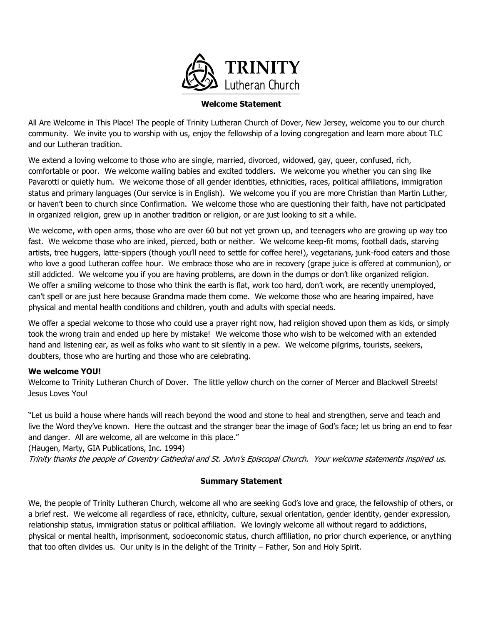

#### **Welcome Statement**

All Are Welcome in This Place! The people of Trinity Lutheran Church of Dover, New Jersey, welcome you to our church community. We invite you to worship with us, enjoy the fellowship of a loving congregation and learn more about TLC and our Lutheran tradition.

We extend a loving welcome to those who are single, married, divorced, widowed, gay, queer, confused, rich, comfortable or poor. We welcome wailing babies and excited toddlers. We welcome you whether you can sing like Pavarotti or quietly hum. We welcome those of all gender identities, ethnicities, races, political affiliations, immigration status and primary languages (Our service is in English). We welcome you if you are more Christian than Martin Luther, or haven't been to church since Confirmation. We welcome those who are questioning their faith, have not participated in organized religion, grew up in another tradition or religion, or are just looking to sit a while.

We welcome, with open arms, those who are over 60 but not yet grown up, and teenagers who are growing up way too fast. We welcome those who are inked, pierced, both or neither. We welcome keep-fit moms, football dads, starving artists, tree huggers, latte-sippers (though you'll need to settle for coffee here!), vegetarians, junk-food eaters and those who love a good Lutheran coffee hour. We embrace those who are in recovery (grape juice is offered at communion), or still addicted. We welcome you if you are having problems, are down in the dumps or don't like organized religion. We offer a smiling welcome to those who think the earth is flat, work too hard, don't work, are recently unemployed, can't spell or are just here because Grandma made them come. We welcome those who are hearing impaired, have physical and mental health conditions and children, youth and adults with special needs.

We offer a special welcome to those who could use a prayer right now, had religion shoved upon them as kids, or simply took the wrong train and ended up here by mistake! We welcome those who wish to be welcomed with an extended hand and listening ear, as well as folks who want to sit silently in a pew. We welcome pilgrims, tourists, seekers, doubters, those who are hurting and those who are celebrating.

#### **We welcome YOU!**

Welcome to Trinity Lutheran Church of Dover. The little yellow church on the corner of Mercer and Blackwell Streets! Jesus Loves You!

"Let us build a house where hands will reach beyond the wood and stone to heal and strengthen, serve and teach and live the Word they've known. Here the outcast and the stranger bear the image of God's face; let us bring an end to fear and danger. All are welcome, all are welcome in this place."

(Haugen, Marty, GIA Publications, Inc. 1994)

Trinity thanks the people of Coventry Cathedral and St. John's Episcopal Church. Your welcome statements inspired us.

#### **Summary Statement**

We, the people of Trinity Lutheran Church, welcome all who are seeking God's love and grace, the fellowship of others, or a brief rest. We welcome all regardless of race, ethnicity, culture, sexual orientation, gender identity, gender expression, relationship status, immigration status or political affiliation. We lovingly welcome all without regard to addictions, physical or mental health, imprisonment, socioeconomic status, church affiliation, no prior church experience, or anything that too often divides us. Our unity is in the delight of the Trinity – Father, Son and Holy Spirit.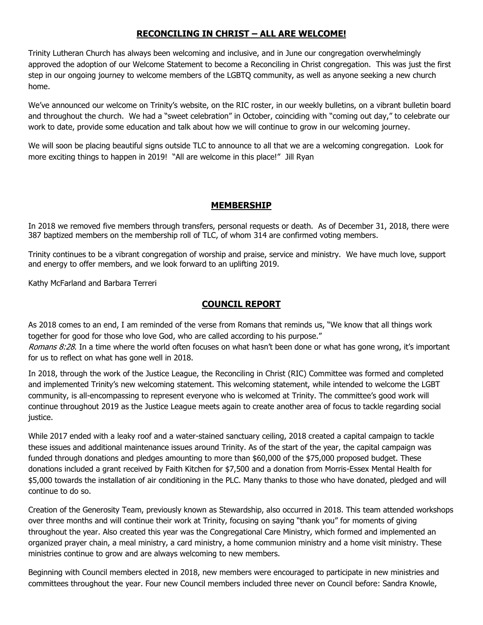## **RECONCILING IN CHRIST – ALL ARE WELCOME!**

Trinity Lutheran Church has always been welcoming and inclusive, and in June our congregation overwhelmingly approved the adoption of our Welcome Statement to become a Reconciling in Christ congregation. This was just the first step in our ongoing journey to welcome members of the LGBTQ community, as well as anyone seeking a new church home.

We've announced our welcome on Trinity's website, on the RIC roster, in our weekly bulletins, on a vibrant bulletin board and throughout the church. We had a "sweet celebration" in October, coinciding with "coming out day," to celebrate our work to date, provide some education and talk about how we will continue to grow in our welcoming journey.

We will soon be placing beautiful signs outside TLC to announce to all that we are a welcoming congregation. Look for more exciting things to happen in 2019! "All are welcome in this place!" Jill Ryan

## **MEMBERSHIP**

In 2018 we removed five members through transfers, personal requests or death. As of December 31, 2018, there were 387 baptized members on the membership roll of TLC, of whom 314 are confirmed voting members.

Trinity continues to be a vibrant congregation of worship and praise, service and ministry. We have much love, support and energy to offer members, and we look forward to an uplifting 2019.

Kathy McFarland and Barbara Terreri

## **COUNCIL REPORT**

As 2018 comes to an end, I am reminded of the verse from Romans that reminds us, "We know that all things work together for good for those who love God, who are called according to his purpose." Romans 8:28. In a time where the world often focuses on what hasn't been done or what has gone wrong, it's important for us to reflect on what has gone well in 2018.

In 2018, through the work of the Justice League, the Reconciling in Christ (RIC) Committee was formed and completed and implemented Trinity's new welcoming statement. This welcoming statement, while intended to welcome the LGBT community, is all-encompassing to represent everyone who is welcomed at Trinity. The committee's good work will continue throughout 2019 as the Justice League meets again to create another area of focus to tackle regarding social justice.

While 2017 ended with a leaky roof and a water-stained sanctuary ceiling, 2018 created a capital campaign to tackle these issues and additional maintenance issues around Trinity. As of the start of the year, the capital campaign was funded through donations and pledges amounting to more than \$60,000 of the \$75,000 proposed budget. These donations included a grant received by Faith Kitchen for \$7,500 and a donation from Morris-Essex Mental Health for \$5,000 towards the installation of air conditioning in the PLC. Many thanks to those who have donated, pledged and will continue to do so.

Creation of the Generosity Team, previously known as Stewardship, also occurred in 2018. This team attended workshops over three months and will continue their work at Trinity, focusing on saying "thank you" for moments of giving throughout the year. Also created this year was the Congregational Care Ministry, which formed and implemented an organized prayer chain, a meal ministry, a card ministry, a home communion ministry and a home visit ministry. These ministries continue to grow and are always welcoming to new members.

Beginning with Council members elected in 2018, new members were encouraged to participate in new ministries and committees throughout the year. Four new Council members included three never on Council before: Sandra Knowle,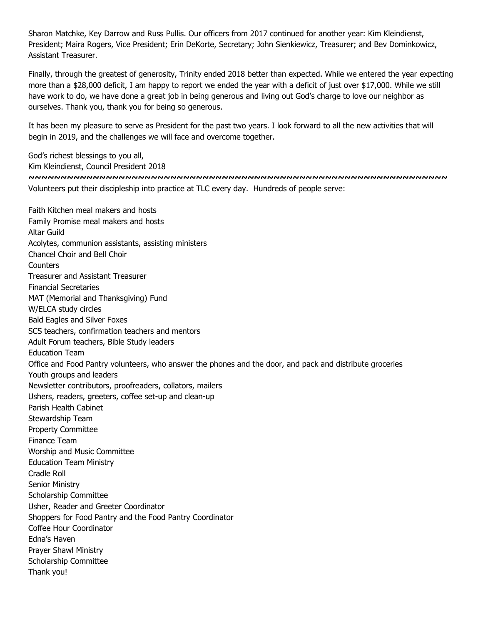Sharon Matchke, Key Darrow and Russ Pullis. Our officers from 2017 continued for another year: Kim Kleindienst, President; Maira Rogers, Vice President; Erin DeKorte, Secretary; John Sienkiewicz, Treasurer; and Bev Dominkowicz, Assistant Treasurer.

Finally, through the greatest of generosity, Trinity ended 2018 better than expected. While we entered the year expecting more than a \$28,000 deficit, I am happy to report we ended the year with a deficit of just over \$17,000. While we still have work to do, we have done a great job in being generous and living out God's charge to love our neighbor as ourselves. Thank you, thank you for being so generous.

It has been my pleasure to serve as President for the past two years. I look forward to all the new activities that will begin in 2019, and the challenges we will face and overcome together.

God's richest blessings to you all, Kim Kleindienst, Council President 2018 **~~~~~~~~~~~~~~~~~~~~~~~~~~~~~~~~~~~~~~~~~~~~~~~~~~~~~~~~~~~~~~~~~** Volunteers put their discipleship into practice at TLC every day. Hundreds of people serve:

Faith Kitchen meal makers and hosts Family Promise meal makers and hosts Altar Guild Acolytes, communion assistants, assisting ministers Chancel Choir and Bell Choir **Counters** Treasurer and Assistant Treasurer Financial Secretaries MAT (Memorial and Thanksgiving) Fund W/ELCA study circles Bald Eagles and Silver Foxes SCS teachers, confirmation teachers and mentors Adult Forum teachers, Bible Study leaders Education Team Office and Food Pantry volunteers, who answer the phones and the door, and pack and distribute groceries Youth groups and leaders Newsletter contributors, proofreaders, collators, mailers Ushers, readers, greeters, coffee set-up and clean-up Parish Health Cabinet Stewardship Team Property Committee Finance Team Worship and Music Committee Education Team Ministry Cradle Roll Senior Ministry Scholarship Committee Usher, Reader and Greeter Coordinator Shoppers for Food Pantry and the Food Pantry Coordinator Coffee Hour Coordinator Edna's Haven Prayer Shawl Ministry Scholarship Committee Thank you!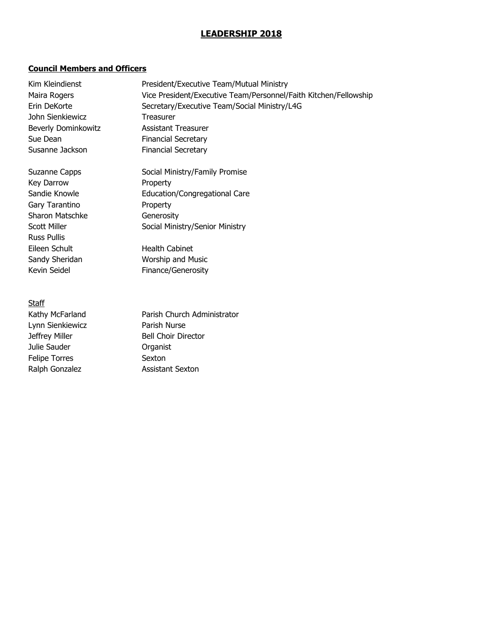## **LEADERSHIP 2018**

## **Council Members and Officers**

| Kim Kleindienst     | President/Executive Team/Mutual Ministry                         |
|---------------------|------------------------------------------------------------------|
| Maira Rogers        | Vice President/Executive Team/Personnel/Faith Kitchen/Fellowship |
| Erin DeKorte        | Secretary/Executive Team/Social Ministry/L4G                     |
| John Sienkiewicz    | Treasurer                                                        |
| Beverly Dominkowitz | <b>Assistant Treasurer</b>                                       |
| Sue Dean            | <b>Financial Secretary</b>                                       |
| Susanne Jackson     | <b>Financial Secretary</b>                                       |
| Suzanne Capps       | Social Ministry/Family Promise                                   |
| Key Darrow          | Property                                                         |
| Sandie Knowle       | Education/Congregational Care                                    |
| Gary Tarantino      | Property                                                         |
| Sharon Matschke     | Generosity                                                       |
| Scott Miller        | Social Ministry/Senior Ministry                                  |
| <b>Russ Pullis</b>  |                                                                  |
| Eileen Schult       | <b>Health Cabinet</b>                                            |
| Sandy Sheridan      | Worship and Music                                                |
| Kevin Seidel        | Finance/Generosity                                               |
| <b>Staff</b>        |                                                                  |
| Kathy McFarland     | Parish Church Administrator                                      |
| Lynn Sienkiewicz    | Parish Nurse                                                     |

Julie Sauder **Cause Communist** Organist Felipe Torres Sexton Ralph Gonzalez **Assistant Sexton** 

Jeffrey Miller Bell Choir Director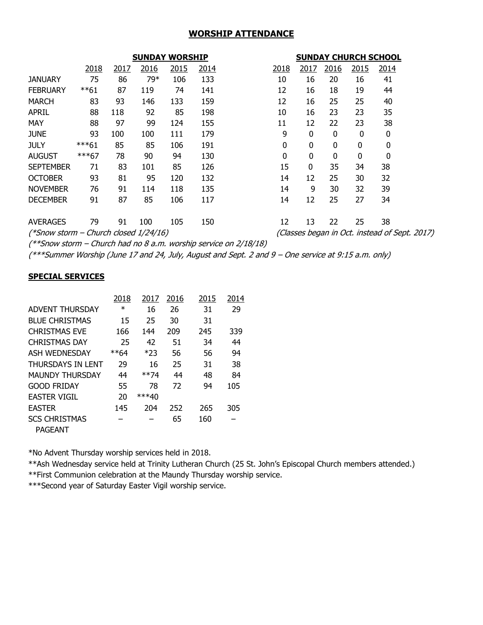#### **WORSHIP ATTENDANCE**

|                                       |         |      | <b>SUNDAY WORSHIP</b> |      |      |      |             |             |              | <b>SUNDAY CHURCH SCHOOL</b>                   |
|---------------------------------------|---------|------|-----------------------|------|------|------|-------------|-------------|--------------|-----------------------------------------------|
|                                       | 2018    | 2017 | 2016                  | 2015 | 2014 | 2018 | 2017        | 2016        | 2015         | 2014                                          |
| <b>JANUARY</b>                        | 75      | 86   | 79*                   | 106  | 133  | 10   | 16          | 20          | 16           | 41                                            |
| <b>FEBRUARY</b>                       | $***61$ | 87   | 119                   | 74   | 141  | 12   | 16          | 18          | 19           | 44                                            |
| <b>MARCH</b>                          | 83      | 93   | 146                   | 133  | 159  | 12   | 16          | 25          | 25           | 40                                            |
| <b>APRIL</b>                          | 88      | 118  | 92                    | 85   | 198  | 10   | 16          | 23          | 23           | 35                                            |
| <b>MAY</b>                            | 88      | 97   | 99                    | 124  | 155  | 11   | 12          | 22          | 23           | 38                                            |
| <b>JUNE</b>                           | 93      | 100  | 100                   | 111  | 179  | 9    | 0           | 0           | 0            | 0                                             |
| <b>JULY</b>                           | $***61$ | 85   | 85                    | 106  | 191  | 0    | $\mathbf 0$ | $\mathbf 0$ | $\mathbf{0}$ | 0                                             |
| <b>AUGUST</b>                         | ***67   | 78   | 90                    | 94   | 130  | 0    | $\mathbf 0$ | $\mathbf 0$ | $\mathbf 0$  | 0                                             |
| <b>SEPTEMBER</b>                      | 71      | 83   | 101                   | 85   | 126  | 15   | $\mathbf 0$ | 35          | 34           | 38                                            |
| <b>OCTOBER</b>                        | 93      | 81   | 95                    | 120  | 132  | 14   | 12          | 25          | 30           | 32                                            |
| <b>NOVEMBER</b>                       | 76      | 91   | 114                   | 118  | 135  | 14   | 9           | 30          | 32           | 39                                            |
| <b>DECEMBER</b>                       | 91      | 87   | 85                    | 106  | 117  | 14   | 12          | 25          | 27           | 34                                            |
| <b>AVERAGES</b>                       | 79      | 91   | 100                   | 105  | 150  | 12   | 13          | 22          | 25           | 38                                            |
| (*Snow storm – Church closed 1/24/16) |         |      |                       |      |      |      |             |             |              | (Classes began in Oct. instead of Sept. 2017) |

(\*\*Snow storm – Church had no 8 a.m. worship service on 2/18/18)

(\*\*\*Summer Worship (June 17 and 24, July, August and Sept. 2 and 9 – One service at 9:15 a.m. only)

#### **SPECIAL SERVICES**

|                        | 2018   | 2017    | 2016 | 2015 | 2014 |  |
|------------------------|--------|---------|------|------|------|--|
| <b>ADVENT THURSDAY</b> | $\ast$ | 16      | 26   | 31   | 29   |  |
| <b>BLUE CHRISTMAS</b>  | 15     | 25      | 30   | 31   |      |  |
| <b>CHRISTMAS EVE</b>   | 166    | 144     | 209  | 245  | 339  |  |
| <b>CHRISTMAS DAY</b>   | 25     | 42      | 51   | 34   | 44   |  |
| ASH WEDNESDAY          | **64   | $*23$   | 56   | 56   | 94   |  |
| THURSDAYS IN LENT      | 29     | 16      | 25   | 31   | 38   |  |
| <b>MAUNDY THURSDAY</b> | 44     | **74    | 44   | 48   | 84   |  |
| <b>GOOD FRIDAY</b>     | 55     | 78      | 72   | 94   | 105  |  |
| <b>EASTER VIGIL</b>    | 20     | $***40$ |      |      |      |  |
| <b>EASTER</b>          | 145    | 204     | 252  | 265  | 305  |  |
| <b>SCS CHRISTMAS</b>   |        |         | 65   | 160  |      |  |
| <b>PAGEANT</b>         |        |         |      |      |      |  |

\*No Advent Thursday worship services held in 2018.

\*\*Ash Wednesday service held at Trinity Lutheran Church (25 St. John's Episcopal Church members attended.)

\*\*First Communion celebration at the Maundy Thursday worship service.

\*\*\*Second year of Saturday Easter Vigil worship service.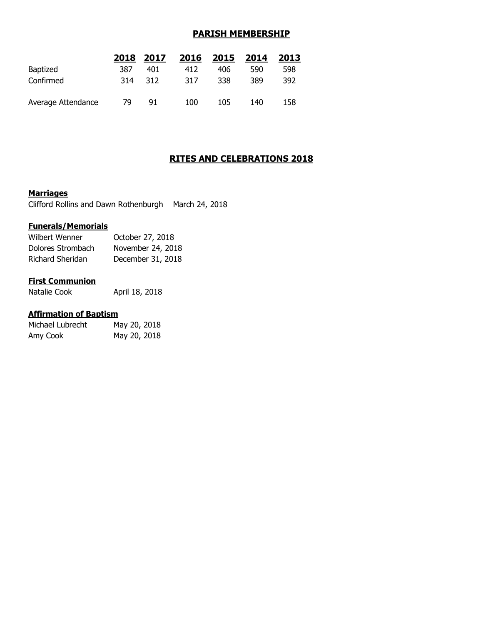## **PARISH MEMBERSHIP**

|                    | 2018 | 2017 | 2016 | 2015 | 2014 | 2013 |
|--------------------|------|------|------|------|------|------|
| <b>Baptized</b>    | 387  | 401  | 412  | 406  | 590  | 598  |
| Confirmed          | 314  | 312  | 317  | 338  | 389  | 392  |
| Average Attendance | 79   | 91   | 100  | 105  | 140  | 158  |

## **RITES AND CELEBRATIONS 2018**

#### **Marriages**

Clifford Rollins and Dawn Rothenburgh March 24, 2018

#### **Funerals/Memorials**

| Wilbert Wenner    | October 27, 2018  |
|-------------------|-------------------|
| Dolores Strombach | November 24, 2018 |
| Richard Sheridan  | December 31, 2018 |

#### **First Communion**

Natalie Cook April 18, 2018

#### **Affirmation of Baptism**

| Michael Lubrecht | May 20, 2018 |
|------------------|--------------|
| Amy Cook         | May 20, 2018 |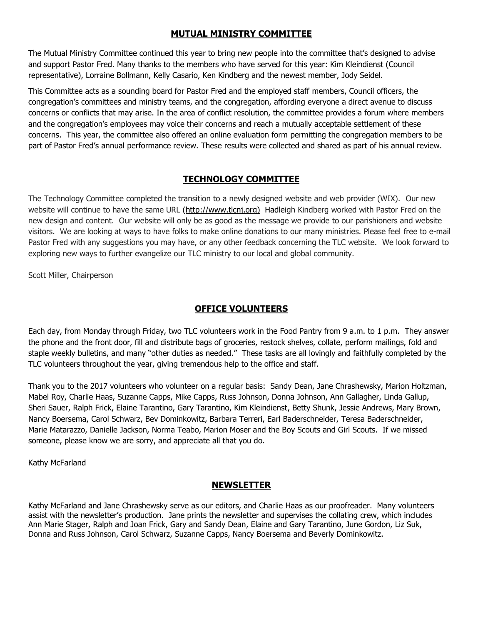## **MUTUAL MINISTRY COMMITTEE**

The Mutual Ministry Committee continued this year to bring new people into the committee that's designed to advise and support Pastor Fred. Many thanks to the members who have served for this year: Kim Kleindienst (Council representative), Lorraine Bollmann, Kelly Casario, Ken Kindberg and the newest member, Jody Seidel.

This Committee acts as a sounding board for Pastor Fred and the employed staff members, Council officers, the congregation's committees and ministry teams, and the congregation, affording everyone a direct avenue to discuss concerns or conflicts that may arise. In the area of conflict resolution, the committee provides a forum where members and the congregation's employees may voice their concerns and reach a mutually acceptable settlement of these concerns. This year, the committee also offered an online evaluation form permitting the congregation members to be part of Pastor Fred's annual performance review. These results were collected and shared as part of his annual review.

## **TECHNOLOGY COMMITTEE**

The Technology Committee completed the transition to a newly designed website and web provider (WIX). Our new website will continue to have the same URL [\(http://www.tlcnj.org\)](http://www.tlcnj.org/) Hadleigh Kindberg worked with Pastor Fred on the new design and content. Our website will only be as good as the message we provide to our parishioners and website visitors. We are looking at ways to have folks to make online donations to our many ministries. Please feel free to e-mail Pastor Fred with any suggestions you may have, or any other feedback concerning the TLC website. We look forward to exploring new ways to further evangelize our TLC ministry to our local and global community.

Scott Miller, Chairperson

## **OFFICE VOLUNTEERS**

Each day, from Monday through Friday, two TLC volunteers work in the Food Pantry from 9 a.m. to 1 p.m. They answer the phone and the front door, fill and distribute bags of groceries, restock shelves, collate, perform mailings, fold and staple weekly bulletins, and many "other duties as needed." These tasks are all lovingly and faithfully completed by the TLC volunteers throughout the year, giving tremendous help to the office and staff.

Thank you to the 2017 volunteers who volunteer on a regular basis: Sandy Dean, Jane Chrashewsky, Marion Holtzman, Mabel Roy, Charlie Haas, Suzanne Capps, Mike Capps, Russ Johnson, Donna Johnson, Ann Gallagher, Linda Gallup, Sheri Sauer, Ralph Frick, Elaine Tarantino, Gary Tarantino, Kim Kleindienst, Betty Shunk, Jessie Andrews, Mary Brown, Nancy Boersema, Carol Schwarz, Bev Dominkowitz, Barbara Terreri, Earl Baderschneider, Teresa Baderschneider, Marie Matarazzo, Danielle Jackson, Norma Teabo, Marion Moser and the Boy Scouts and Girl Scouts. If we missed someone, please know we are sorry, and appreciate all that you do.

Kathy McFarland

## **NEWSLETTER**

Kathy McFarland and Jane Chrashewsky serve as our editors, and Charlie Haas as our proofreader. Many volunteers assist with the newsletter's production. Jane prints the newsletter and supervises the collating crew, which includes Ann Marie Stager, Ralph and Joan Frick, Gary and Sandy Dean, Elaine and Gary Tarantino, June Gordon, Liz Suk, Donna and Russ Johnson, Carol Schwarz, Suzanne Capps, Nancy Boersema and Beverly Dominkowitz.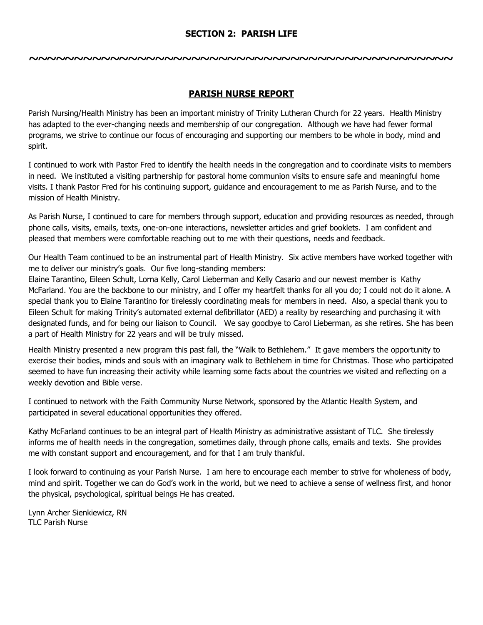## **SECTION 2: PARISH LIFE**

**~~~~~~~~~~~~~~~~~~~~~~~~~~~~~~~~~~~~~~~~~~~~~~~**

## **PARISH NURSE REPORT**

Parish Nursing/Health Ministry has been an important ministry of Trinity Lutheran Church for 22 years. Health Ministry has adapted to the ever-changing needs and membership of our congregation. Although we have had fewer formal programs, we strive to continue our focus of encouraging and supporting our members to be whole in body, mind and spirit.

I continued to work with Pastor Fred to identify the health needs in the congregation and to coordinate visits to members in need. We instituted a visiting partnership for pastoral home communion visits to ensure safe and meaningful home visits. I thank Pastor Fred for his continuing support, guidance and encouragement to me as Parish Nurse, and to the mission of Health Ministry.

As Parish Nurse, I continued to care for members through support, education and providing resources as needed, through phone calls, visits, emails, texts, one-on-one interactions, newsletter articles and grief booklets. I am confident and pleased that members were comfortable reaching out to me with their questions, needs and feedback.

Our Health Team continued to be an instrumental part of Health Ministry. Six active members have worked together with me to deliver our ministry's goals. Our five long-standing members:

Elaine Tarantino, Eileen Schult, Lorna Kelly, Carol Lieberman and Kelly Casario and our newest member is Kathy McFarland. You are the backbone to our ministry, and I offer my heartfelt thanks for all you do; I could not do it alone. A special thank you to Elaine Tarantino for tirelessly coordinating meals for members in need. Also, a special thank you to Eileen Schult for making Trinity's automated external defibrillator (AED) a reality by researching and purchasing it with designated funds, and for being our liaison to Council. We say goodbye to Carol Lieberman, as she retires. She has been a part of Health Ministry for 22 years and will be truly missed.

Health Ministry presented a new program this past fall, the "Walk to Bethlehem." It gave members the opportunity to exercise their bodies, minds and souls with an imaginary walk to Bethlehem in time for Christmas. Those who participated seemed to have fun increasing their activity while learning some facts about the countries we visited and reflecting on a weekly devotion and Bible verse.

I continued to network with the Faith Community Nurse Network, sponsored by the Atlantic Health System, and participated in several educational opportunities they offered.

Kathy McFarland continues to be an integral part of Health Ministry as administrative assistant of TLC. She tirelessly informs me of health needs in the congregation, sometimes daily, through phone calls, emails and texts. She provides me with constant support and encouragement, and for that I am truly thankful.

I look forward to continuing as your Parish Nurse. I am here to encourage each member to strive for wholeness of body, mind and spirit. Together we can do God's work in the world, but we need to achieve a sense of wellness first, and honor the physical, psychological, spiritual beings He has created.

Lynn Archer Sienkiewicz, RN TLC Parish Nurse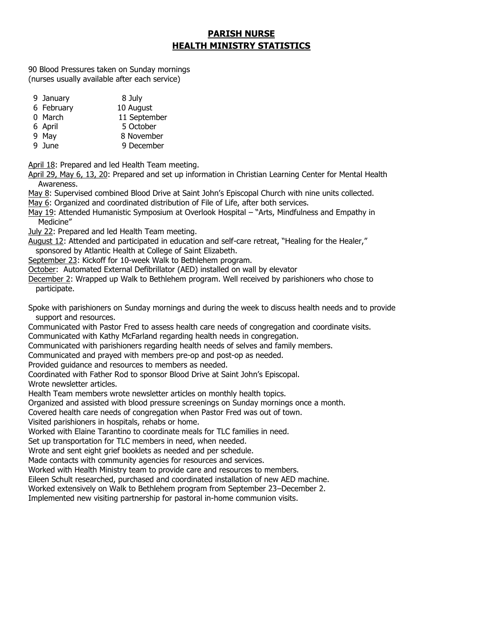## **PARISH NURSE HEALTH MINISTRY STATISTICS**

90 Blood Pressures taken on Sunday mornings (nurses usually available after each service)

- 9 January 8 July
- 6 February 10 August
- 0 March 11 September
- 6 April 5 October
- 9 May 8 November
- 9 June 9 December

April 18: Prepared and led Health Team meeting.

April 29, May 6, 13, 20: Prepared and set up information in Christian Learning Center for Mental Health Awareness.

May 8: Supervised combined Blood Drive at Saint John's Episcopal Church with nine units collected.

- May 6: Organized and coordinated distribution of File of Life, after both services.
- May 19: Attended Humanistic Symposium at Overlook Hospital "Arts, Mindfulness and Empathy in Medicine"
- July 22: Prepared and led Health Team meeting.
- August 12: Attended and participated in education and self-care retreat, "Healing for the Healer," sponsored by Atlantic Health at College of Saint Elizabeth.
- September 23: Kickoff for 10-week Walk to Bethlehem program.

October: Automated External Defibrillator (AED) installed on wall by elevator

December 2: Wrapped up Walk to Bethlehem program. Well received by parishioners who chose to participate.

Spoke with parishioners on Sunday mornings and during the week to discuss health needs and to provide support and resources.

Communicated with Pastor Fred to assess health care needs of congregation and coordinate visits.

Communicated with Kathy McFarland regarding health needs in congregation.

Communicated with parishioners regarding health needs of selves and family members.

Communicated and prayed with members pre-op and post-op as needed.

Provided guidance and resources to members as needed.

Coordinated with Father Rod to sponsor Blood Drive at Saint John's Episcopal.

Wrote newsletter articles.

Health Team members wrote newsletter articles on monthly health topics.

Organized and assisted with blood pressure screenings on Sunday mornings once a month.

Covered health care needs of congregation when Pastor Fred was out of town.

Visited parishioners in hospitals, rehabs or home.

Worked with Elaine Tarantino to coordinate meals for TLC families in need.

Set up transportation for TLC members in need, when needed.

Wrote and sent eight grief booklets as needed and per schedule.

Made contacts with community agencies for resources and services.

Worked with Health Ministry team to provide care and resources to members.

Eileen Schult researched, purchased and coordinated installation of new AED machine.

Worked extensively on Walk to Bethlehem program from September 23–December 2.

Implemented new visiting partnership for pastoral in-home communion visits.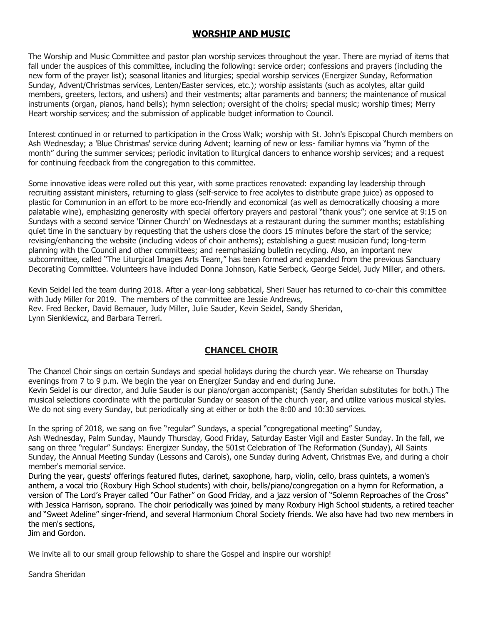## **WORSHIP AND MUSIC**

The Worship and Music Committee and pastor plan worship services throughout the year. There are myriad of items that fall under the auspices of this committee, including the following: service order; confessions and prayers (including the new form of the prayer list); seasonal litanies and liturgies; special worship services (Energizer Sunday, Reformation Sunday, Advent/Christmas services, Lenten/Easter services, etc.); worship assistants (such as acolytes, altar guild members, greeters, lectors, and ushers) and their vestments; altar paraments and banners; the maintenance of musical instruments (organ, pianos, hand bells); hymn selection; oversight of the choirs; special music; worship times; Merry Heart worship services; and the submission of applicable budget information to Council.

Interest continued in or returned to participation in the Cross Walk; worship with St. John's Episcopal Church members on Ash Wednesday; a 'Blue Christmas' service during Advent; learning of new or less- familiar hymns via "hymn of the month" during the summer services; periodic invitation to liturgical dancers to enhance worship services; and a request for continuing feedback from the congregation to this committee.

Some innovative ideas were rolled out this year, with some practices renovated: expanding lay leadership through recruiting assistant ministers, returning to glass (self-service to free acolytes to distribute grape juice) as opposed to plastic for Communion in an effort to be more eco-friendly and economical (as well as democratically choosing a more palatable wine), emphasizing generosity with special offertory prayers and pastoral "thank yous"; one service at 9:15 on Sundays with a second service 'Dinner Church' on Wednesdays at a restaurant during the summer months; establishing quiet time in the sanctuary by requesting that the ushers close the doors 15 minutes before the start of the service; revising/enhancing the website (including videos of choir anthems); establishing a guest musician fund; long-term planning with the Council and other committees; and reemphasizing bulletin recycling. Also, an important new subcommittee, called "The Liturgical Images Arts Team," has been formed and expanded from the previous Sanctuary Decorating Committee. Volunteers have included Donna Johnson, Katie Serbeck, George Seidel, Judy Miller, and others.

Kevin Seidel led the team during 2018. After a year-long sabbatical, Sheri Sauer has returned to co-chair this committee with Judy Miller for 2019. The members of the committee are Jessie Andrews, Rev. Fred Becker, David Bernauer, Judy Miller, Julie Sauder, Kevin Seidel, Sandy Sheridan, Lynn Sienkiewicz, and Barbara Terreri.

## **CHANCEL CHOIR**

The Chancel Choir sings on certain Sundays and special holidays during the church year. We rehearse on Thursday evenings from 7 to 9 p.m. We begin the year on Energizer Sunday and end during June. Kevin Seidel is our director, and Julie Sauder is our piano/organ accompanist; (Sandy Sheridan substitutes for both.) The musical selections coordinate with the particular Sunday or season of the church year, and utilize various musical styles.

We do not sing every Sunday, but periodically sing at either or both the 8:00 and 10:30 services.

In the spring of 2018, we sang on five "regular" Sundays, a special "congregational meeting" Sunday, Ash Wednesday, Palm Sunday, Maundy Thursday, Good Friday, Saturday Easter Vigil and Easter Sunday. In the fall, we sang on three "regular" Sundays: Energizer Sunday, the 501st Celebration of The Reformation (Sunday), All Saints Sunday, the Annual Meeting Sunday (Lessons and Carols), one Sunday during Advent, Christmas Eve, and during a choir member's memorial service.

During the year, guests' offerings featured flutes, clarinet, saxophone, harp, violin, cello, brass quintets, a women's anthem, a vocal trio (Roxbury High School students) with choir, bells/piano/congregation on a hymn for Reformation, a version of The Lord's Prayer called "Our Father" on Good Friday, and a jazz version of "Solemn Reproaches of the Cross" with Jessica Harrison, soprano. The choir periodically was joined by many Roxbury High School students, a retired teacher and "Sweet Adeline" singer-friend, and several Harmonium Choral Society friends. We also have had two new members in the men's sections,

Jim and Gordon.

We invite all to our small group fellowship to share the Gospel and inspire our worship!

Sandra Sheridan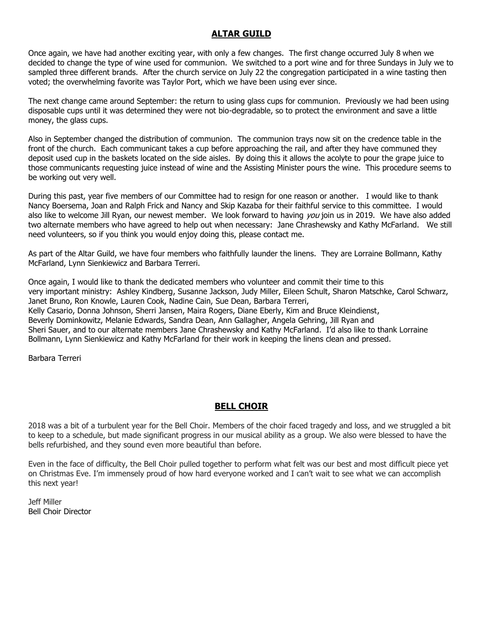## **ALTAR GUILD**

Once again, we have had another exciting year, with only a few changes. The first change occurred July 8 when we decided to change the type of wine used for communion. We switched to a port wine and for three Sundays in July we to sampled three different brands. After the church service on July 22 the congregation participated in a wine tasting then voted; the overwhelming favorite was Taylor Port, which we have been using ever since.

The next change came around September: the return to using glass cups for communion. Previously we had been using disposable cups until it was determined they were not bio-degradable, so to protect the environment and save a little money, the glass cups.

Also in September changed the distribution of communion. The communion trays now sit on the credence table in the front of the church. Each communicant takes a cup before approaching the rail, and after they have communed they deposit used cup in the baskets located on the side aisles. By doing this it allows the acolyte to pour the grape juice to those communicants requesting juice instead of wine and the Assisting Minister pours the wine. This procedure seems to be working out very well.

During this past, year five members of our Committee had to resign for one reason or another. I would like to thank Nancy Boersema, Joan and Ralph Frick and Nancy and Skip Kazaba for their faithful service to this committee. I would also like to welcome Jill Ryan, our newest member. We look forward to having you join us in 2019. We have also added two alternate members who have agreed to help out when necessary: Jane Chrashewsky and Kathy McFarland. We still need volunteers, so if you think you would enjoy doing this, please contact me.

As part of the Altar Guild, we have four members who faithfully launder the linens. They are Lorraine Bollmann, Kathy McFarland, Lynn Sienkiewicz and Barbara Terreri.

Once again, I would like to thank the dedicated members who volunteer and commit their time to this very important ministry: Ashley Kindberg, Susanne Jackson, Judy Miller, Eileen Schult, Sharon Matschke, Carol Schwarz, Janet Bruno, Ron Knowle, Lauren Cook, Nadine Cain, Sue Dean, Barbara Terreri, Kelly Casario, Donna Johnson, Sherri Jansen, Maira Rogers, Diane Eberly, Kim and Bruce Kleindienst, Beverly Dominkowitz, Melanie Edwards, Sandra Dean, Ann Gallagher, Angela Gehring, Jill Ryan and Sheri Sauer, and to our alternate members Jane Chrashewsky and Kathy McFarland. I'd also like to thank Lorraine Bollmann, Lynn Sienkiewicz and Kathy McFarland for their work in keeping the linens clean and pressed.

Barbara Terreri

## **BELL CHOIR**

2018 was a bit of a turbulent year for the Bell Choir. Members of the choir faced tragedy and loss, and we struggled a bit to keep to a schedule, but made significant progress in our musical ability as a group. We also were blessed to have the bells refurbished, and they sound even more beautiful than before.

Even in the face of difficulty, the Bell Choir pulled together to perform what felt was our best and most difficult piece yet on Christmas Eve. I'm immensely proud of how hard everyone worked and I can't wait to see what we can accomplish this next year!

Jeff Miller Bell Choir Director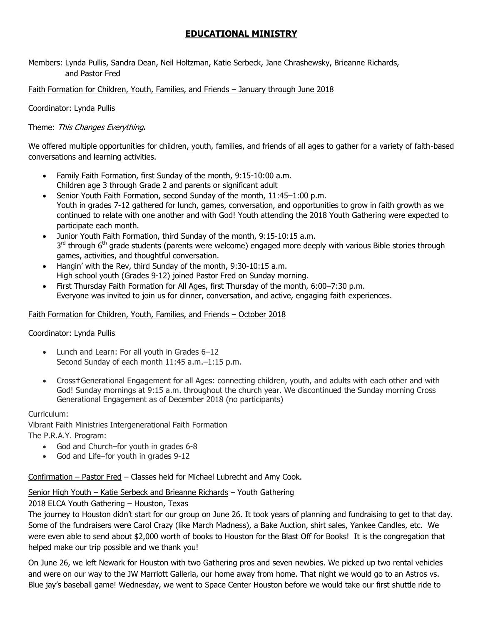## **EDUCATIONAL MINISTRY**

Members: Lynda Pullis, Sandra Dean, Neil Holtzman, Katie Serbeck, Jane Chrashewsky, Brieanne Richards, and Pastor Fred

## Faith Formation for Children, Youth, Families, and Friends – January through June 2018

Coordinator: Lynda Pullis

## Theme: This Changes Everything**.**

We offered multiple opportunities for children, youth, families, and friends of all ages to gather for a variety of faith-based conversations and learning activities.

- Family Faith Formation, first Sunday of the month, 9:15-10:00 a.m. Children age 3 through Grade 2 and parents or significant adult
- Senior Youth Faith Formation, second Sunday of the month, 11:45–1:00 p.m. Youth in grades 7-12 gathered for lunch, games, conversation, and opportunities to grow in faith growth as we continued to relate with one another and with God! Youth attending the 2018 Youth Gathering were expected to participate each month.
- Junior Youth Faith Formation, third Sunday of the month, 9:15-10:15 a.m. 3<sup>rd</sup> through 6<sup>th</sup> grade students (parents were welcome) engaged more deeply with various Bible stories through games, activities, and thoughtful conversation.
- Hangin' with the Rev, third Sunday of the month, 9:30-10:15 a.m. High school youth (Grades 9-12) joined Pastor Fred on Sunday morning.
- First Thursday Faith Formation for All Ages, first Thursday of the month, 6:00–7:30 p.m. Everyone was invited to join us for dinner, conversation, and active, engaging faith experiences.

#### Faith Formation for Children, Youth, Families, and Friends – October 2018

## Coordinator: Lynda Pullis

- Lunch and Learn: For all youth in Grades 6–12 Second Sunday of each month 11:45 a.m.–1:15 p.m.
- Crosst Generational Engagement for all Ages: connecting children, youth, and adults with each other and with God! Sunday mornings at 9:15 a.m. throughout the church year. We discontinued the Sunday morning Cross Generational Engagement as of December 2018 (no participants)

#### Curriculum:

Vibrant Faith Ministries Intergenerational Faith Formation

The P.R.A.Y. Program:

- God and Church–for youth in grades 6-8
- God and Life–for youth in grades 9-12

Confirmation – Pastor Fred – Classes held for Michael Lubrecht and Amy Cook.

## Senior High Youth – Katie Serbeck and Brieanne Richards – Youth Gathering

2018 ELCA Youth Gathering – Houston, Texas

The journey to Houston didn't start for our group on June 26. It took years of planning and fundraising to get to that day. Some of the fundraisers were Carol Crazy (like March Madness), a Bake Auction, shirt sales, Yankee Candles, etc. We were even able to send about \$2,000 worth of books to Houston for the Blast Off for Books! It is the congregation that helped make our trip possible and we thank you!

On June 26, we left Newark for Houston with two Gathering pros and seven newbies. We picked up two rental vehicles and were on our way to the JW Marriott Galleria, our home away from home. That night we would go to an Astros vs. Blue jay's baseball game! Wednesday, we went to Space Center Houston before we would take our first shuttle ride to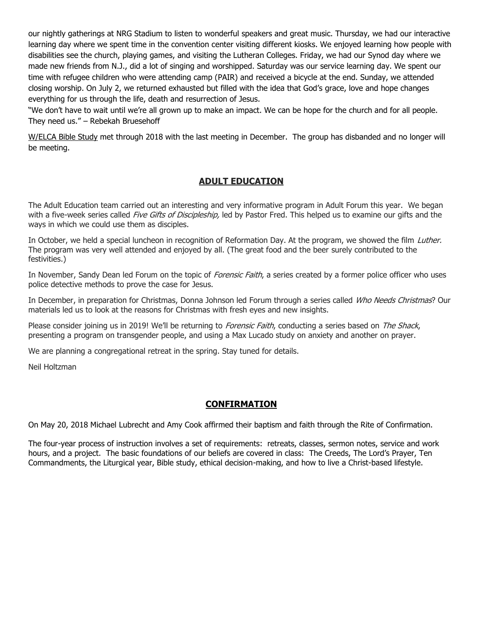our nightly gatherings at NRG Stadium to listen to wonderful speakers and great music. Thursday, we had our interactive learning day where we spent time in the convention center visiting different kiosks. We enjoyed learning how people with disabilities see the church, playing games, and visiting the Lutheran Colleges. Friday, we had our Synod day where we made new friends from N.J., did a lot of singing and worshipped. Saturday was our service learning day. We spent our time with refugee children who were attending camp (PAIR) and received a bicycle at the end. Sunday, we attended closing worship. On July 2, we returned exhausted but filled with the idea that God's grace, love and hope changes everything for us through the life, death and resurrection of Jesus.

"We don't have to wait until we're all grown up to make an impact. We can be hope for the church and for all people. They need us." – Rebekah Bruesehoff

W/ELCA Bible Study met through 2018 with the last meeting in December. The group has disbanded and no longer will be meeting.

## **ADULT EDUCATION**

The Adult Education team carried out an interesting and very informative program in Adult Forum this year. We began with a five-week series called Five Gifts of Discipleship, led by Pastor Fred. This helped us to examine our gifts and the ways in which we could use them as disciples.

In October, we held a special luncheon in recognition of Reformation Day. At the program, we showed the film Luther. The program was very well attended and enjoyed by all. (The great food and the beer surely contributed to the festivities.)

In November, Sandy Dean led Forum on the topic of Forensic Faith, a series created by a former police officer who uses police detective methods to prove the case for Jesus.

In December, in preparation for Christmas, Donna Johnson led Forum through a series called Who Needs Christmas? Our materials led us to look at the reasons for Christmas with fresh eyes and new insights.

Please consider joining us in 2019! We'll be returning to Forensic Faith, conducting a series based on The Shack, presenting a program on transgender people, and using a Max Lucado study on anxiety and another on prayer.

We are planning a congregational retreat in the spring. Stay tuned for details.

Neil Holtzman

## **CONFIRMATION**

On May 20, 2018 Michael Lubrecht and Amy Cook affirmed their baptism and faith through the Rite of Confirmation.

The four-year process of instruction involves a set of requirements: retreats, classes, sermon notes, service and work hours, and a project. The basic foundations of our beliefs are covered in class: The Creeds, The Lord's Prayer, Ten Commandments, the Liturgical year, Bible study, ethical decision-making, and how to live a Christ-based lifestyle.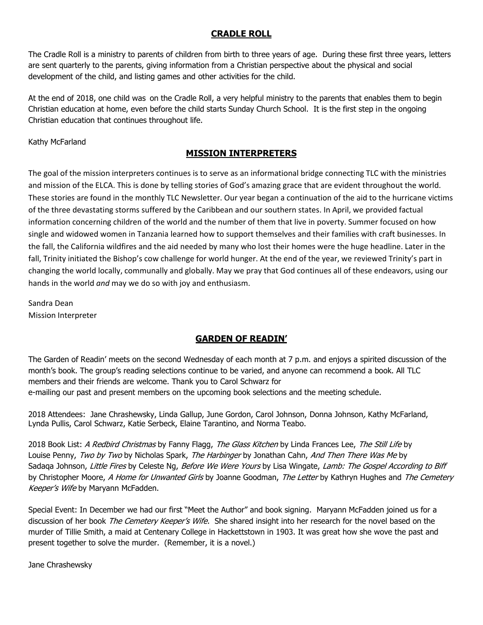## **CRADLE ROLL**

The Cradle Roll is a ministry to parents of children from birth to three years of age. During these first three years, letters are sent quarterly to the parents, giving information from a Christian perspective about the physical and social development of the child, and listing games and other activities for the child.

At the end of 2018, one child was on the Cradle Roll, a very helpful ministry to the parents that enables them to begin Christian education at home, even before the child starts Sunday Church School. It is the first step in the ongoing Christian education that continues throughout life.

Kathy McFarland

## **MISSION INTERPRETERS**

The goal of the mission interpreters continues is to serve as an informational bridge connecting TLC with the ministries and mission of the ELCA. This is done by telling stories of God's amazing grace that are evident throughout the world. These stories are found in the monthly TLC Newsletter. Our year began a continuation of the aid to the hurricane victims of the three devastating storms suffered by the Caribbean and our southern states. In April, we provided factual information concerning children of the world and the number of them that live in poverty. Summer focused on how single and widowed women in Tanzania learned how to support themselves and their families with craft businesses. In the fall, the California wildfires and the aid needed by many who lost their homes were the huge headline. Later in the fall, Trinity initiated the Bishop's cow challenge for world hunger. At the end of the year, we reviewed Trinity's part in changing the world locally, communally and globally. May we pray that God continues all of these endeavors, using our hands in the world *and* may we do so with joy and enthusiasm.

Sandra Dean Mission Interpreter

# **GARDEN OF READIN'**

The Garden of Readin' meets on the second Wednesday of each month at 7 p.m. and enjoys a spirited discussion of the month's book. The group's reading selections continue to be varied, and anyone can recommend a book. All TLC members and their friends are welcome. Thank you to Carol Schwarz for e-mailing our past and present members on the upcoming book selections and the meeting schedule.

2018 Attendees: Jane Chrashewsky, Linda Gallup, June Gordon, Carol Johnson, Donna Johnson, Kathy McFarland, Lynda Pullis, Carol Schwarz, Katie Serbeck, Elaine Tarantino, and Norma Teabo.

2018 Book List: A Redbird Christmas by Fanny Flagg, The Glass Kitchen by Linda Frances Lee, The Still Life by Louise Penny, Two by Two by Nicholas Spark, The Harbinger by Jonathan Cahn, And Then There Was Me by Sadaqa Johnson, Little Fires by Celeste Ng, Before We Were Yours by Lisa Wingate, Lamb: The Gospel According to Biff by Christopher Moore, A Home for Unwanted Girls by Joanne Goodman, The Letter by Kathryn Hughes and The Cemetery Keeper's Wife by Maryann McFadden.

Special Event: In December we had our first "Meet the Author" and book signing. Maryann McFadden joined us for a discussion of her book The Cemetery Keeper's Wife. She shared insight into her research for the novel based on the murder of Tillie Smith, a maid at Centenary College in Hackettstown in 1903. It was great how she wove the past and present together to solve the murder. (Remember, it is a novel.)

Jane Chrashewsky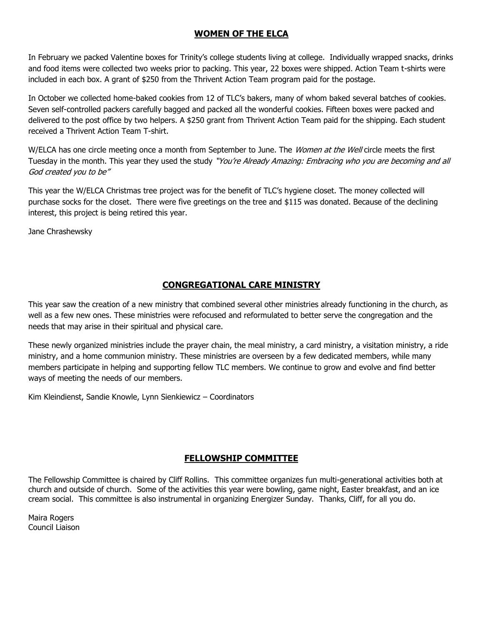## **WOMEN OF THE ELCA**

In February we packed Valentine boxes for Trinity's college students living at college. Individually wrapped snacks, drinks and food items were collected two weeks prior to packing. This year, 22 boxes were shipped. Action Team t-shirts were included in each box. A grant of \$250 from the Thrivent Action Team program paid for the postage.

In October we collected home-baked cookies from 12 of TLC's bakers, many of whom baked several batches of cookies. Seven self-controlled packers carefully bagged and packed all the wonderful cookies. Fifteen boxes were packed and delivered to the post office by two helpers. A \$250 grant from Thrivent Action Team paid for the shipping. Each student received a Thrivent Action Team T-shirt.

W/ELCA has one circle meeting once a month from September to June. The Women at the Well circle meets the first Tuesday in the month. This year they used the study "You're Already Amazing: Embracing who you are becoming and all God created you to be"

This year the W/ELCA Christmas tree project was for the benefit of TLC's hygiene closet. The money collected will purchase socks for the closet. There were five greetings on the tree and \$115 was donated. Because of the declining interest, this project is being retired this year.

Jane Chrashewsky

## **CONGREGATIONAL CARE MINISTRY**

This year saw the creation of a new ministry that combined several other ministries already functioning in the church, as well as a few new ones. These ministries were refocused and reformulated to better serve the congregation and the needs that may arise in their spiritual and physical care.

These newly organized ministries include the prayer chain, the meal ministry, a card ministry, a visitation ministry, a ride ministry, and a home communion ministry. These ministries are overseen by a few dedicated members, while many members participate in helping and supporting fellow TLC members. We continue to grow and evolve and find better ways of meeting the needs of our members.

Kim Kleindienst, Sandie Knowle, Lynn Sienkiewicz – Coordinators

## **FELLOWSHIP COMMITTEE**

The Fellowship Committee is chaired by Cliff Rollins. This committee organizes fun multi-generational activities both at church and outside of church. Some of the activities this year were bowling, game night, Easter breakfast, and an ice cream social. This committee is also instrumental in organizing Energizer Sunday. Thanks, Cliff, for all you do.

Maira Rogers Council Liaison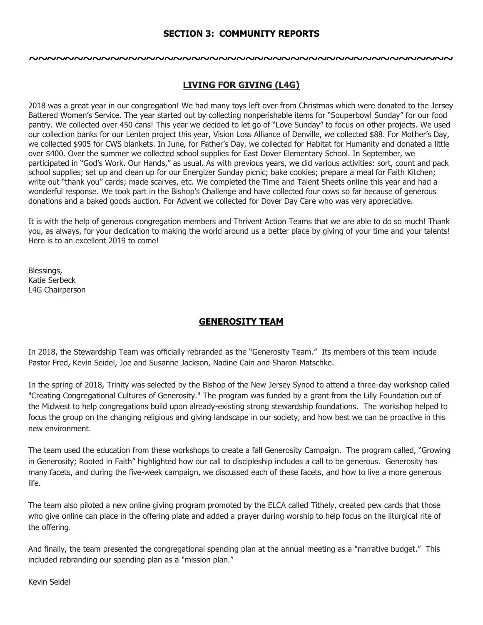## **SECTION 3: COMMUNITY REPORTS**

**~~~~~~~~~~~~~~~~~~~~~~~~~~~~~~~~~~~~~~~~~~~~~~~**

## **LIVING FOR GIVING (L4G)**

2018 was a great year in our congregation! We had many toys left over from Christmas which were donated to the Jersey Battered Women's Service. The year started out by collecting nonperishable items for "Souperbowl Sunday" for our food pantry. We collected over 450 cans! This year we decided to let go of "Love Sunday" to focus on other projects. We used our collection banks for our Lenten project this year, Vision Loss Alliance of Denville, we collected \$88. For Mother's Day, we collected \$905 for CWS blankets. In June, for Father's Day, we collected for Habitat for Humanity and donated a little over \$400. Over the summer we collected school supplies for East Dover Elementary School. In September, we participated in "God's Work. Our Hands," as usual. As with previous years, we did various activities: sort, count and pack school supplies; set up and clean up for our Energizer Sunday picnic; bake cookies; prepare a meal for Faith Kitchen; write out "thank you" cards; made scarves, etc. We completed the Time and Talent Sheets online this year and had a wonderful response. We took part in the Bishop's Challenge and have collected four cows so far because of generous donations and a baked goods auction. For Advent we collected for Dover Day Care who was very appreciative.

It is with the help of generous congregation members and Thrivent Action Teams that we are able to do so much! Thank you, as always, for your dedication to making the world around us a better place by giving of your time and your talents! Here is to an excellent 2019 to come!

Blessings, Katie Serbeck L4G Chairperson

## **GENEROSITY TEAM**

In 2018, the Stewardship Team was officially rebranded as the "Generosity Team." Its members of this team include Pastor Fred, Kevin Seidel, Joe and Susanne Jackson, Nadine Cain and Sharon Matschke.

In the spring of 2018, Trinity was selected by the Bishop of the New Jersey Synod to attend a three-day workshop called "Creating Congregational Cultures of Generosity." The program was funded by a grant from the Lilly Foundation out of the Midwest to help congregations build upon already-existing strong stewardship foundations. The workshop helped to focus the group on the changing religious and giving landscape in our society, and how best we can be proactive in this new environment.

The team used the education from these workshops to create a fall Generosity Campaign. The program called, "Growing in Generosity; Rooted in Faith" highlighted how our call to discipleship includes a call to be generous. Generosity has many facets, and during the five-week campaign, we discussed each of these facets, and how to live a more generous life.

The team also piloted a new online giving program promoted by the ELCA called Tithely, created pew cards that those who give online can place in the offering plate and added a prayer during worship to help focus on the liturgical rite of the offering.

And finally, the team presented the congregational spending plan at the annual meeting as a "narrative budget." This included rebranding our spending plan as a "mission plan."

Kevin Seidel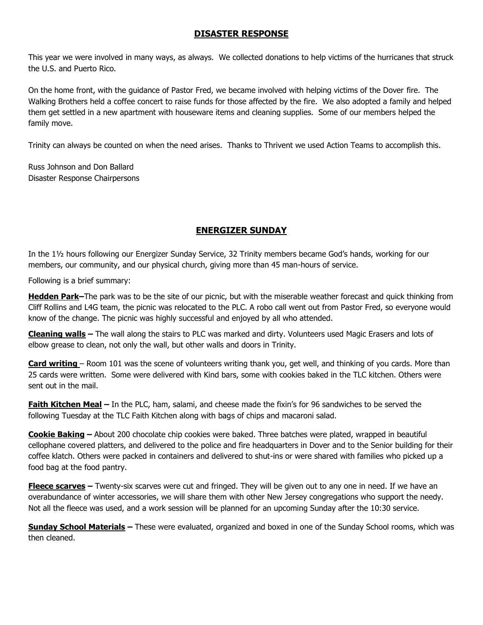## **DISASTER RESPONSE**

This year we were involved in many ways, as always. We collected donations to help victims of the hurricanes that struck the U.S. and Puerto Rico.

On the home front, with the guidance of Pastor Fred, we became involved with helping victims of the Dover fire. The Walking Brothers held a coffee concert to raise funds for those affected by the fire. We also adopted a family and helped them get settled in a new apartment with houseware items and cleaning supplies. Some of our members helped the family move.

Trinity can always be counted on when the need arises. Thanks to Thrivent we used Action Teams to accomplish this.

Russ Johnson and Don Ballard Disaster Response Chairpersons

## **ENERGIZER SUNDAY**

In the 1½ hours following our Energizer Sunday Service, 32 Trinity members became God's hands, working for our members, our community, and our physical church, giving more than 45 man-hours of service.

Following is a brief summary:

**Hedden Park–**The park was to be the site of our picnic, but with the miserable weather forecast and quick thinking from Cliff Rollins and L4G team, the picnic was relocated to the PLC. A robo call went out from Pastor Fred, so everyone would know of the change. The picnic was highly successful and enjoyed by all who attended.

**Cleaning walls –** The wall along the stairs to PLC was marked and dirty. Volunteers used Magic Erasers and lots of elbow grease to clean, not only the wall, but other walls and doors in Trinity.

**Card writing** – Room 101 was the scene of volunteers writing thank you, get well, and thinking of you cards. More than 25 cards were written. Some were delivered with Kind bars, some with cookies baked in the TLC kitchen. Others were sent out in the mail.

**Faith Kitchen Meal –** In the PLC, ham, salami, and cheese made the fixin's for 96 sandwiches to be served the following Tuesday at the TLC Faith Kitchen along with bags of chips and macaroni salad.

**Cookie Baking –** About 200 chocolate chip cookies were baked. Three batches were plated, wrapped in beautiful cellophane covered platters, and delivered to the police and fire headquarters in Dover and to the Senior building for their coffee klatch. Others were packed in containers and delivered to shut-ins or were shared with families who picked up a food bag at the food pantry.

**Fleece scarves –** Twenty-six scarves were cut and fringed. They will be given out to any one in need. If we have an overabundance of winter accessories, we will share them with other New Jersey congregations who support the needy. Not all the fleece was used, and a work session will be planned for an upcoming Sunday after the 10:30 service.

**Sunday School Materials –** These were evaluated, organized and boxed in one of the Sunday School rooms, which was then cleaned.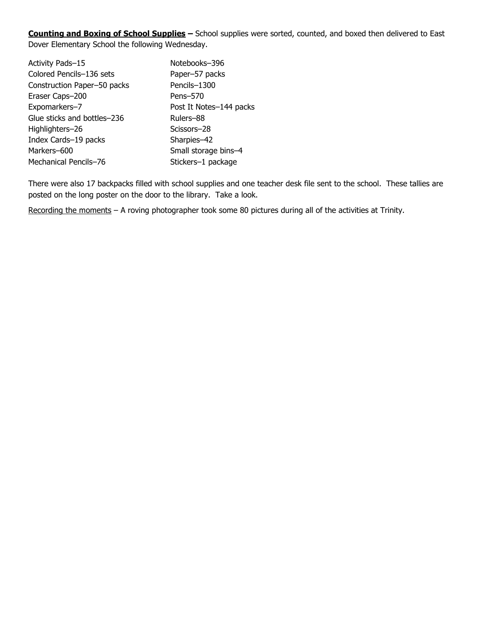**Counting and Boxing of School Supplies –** School supplies were sorted, counted, and boxed then delivered to East Dover Elementary School the following Wednesday.

| Notebooks-396           |
|-------------------------|
| Paper-57 packs          |
| Pencils-1300            |
| Pens-570                |
| Post It Notes-144 packs |
| Rulers-88               |
| Scissors-28             |
| Sharpies-42             |
| Small storage bins-4    |
| Stickers-1 package      |
|                         |

There were also 17 backpacks filled with school supplies and one teacher desk file sent to the school. These tallies are posted on the long poster on the door to the library. Take a look.

Recording the moments - A roving photographer took some 80 pictures during all of the activities at Trinity.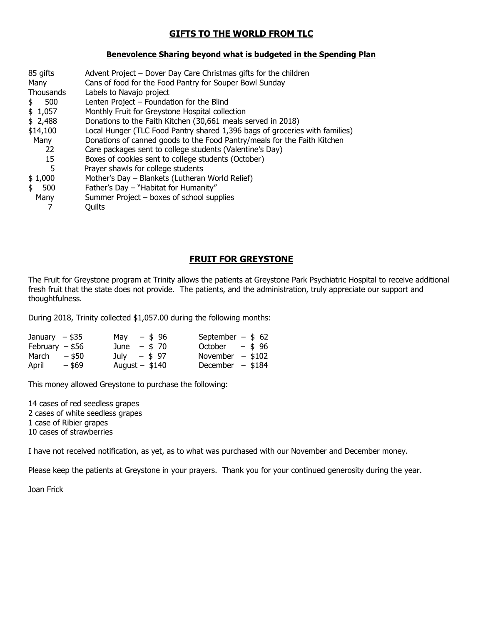## **GIFTS TO THE WORLD FROM TLC**

#### **Benevolence Sharing beyond what is budgeted in the Spending Plan**

| 85 gifts  | Advent Project - Dover Day Care Christmas gifts for the children            |
|-----------|-----------------------------------------------------------------------------|
| Many      | Cans of food for the Food Pantry for Souper Bowl Sunday                     |
| Thousands | Labels to Navajo project                                                    |
| 500<br>\$ | Lenten Project - Foundation for the Blind                                   |
| \$1,057   | Monthly Fruit for Greystone Hospital collection                             |
| \$2,488   | Donations to the Faith Kitchen (30,661 meals served in 2018)                |
| \$14,100  | Local Hunger (TLC Food Pantry shared 1,396 bags of groceries with families) |
| Many      | Donations of canned goods to the Food Pantry/meals for the Faith Kitchen    |
| 22        | Care packages sent to college students (Valentine's Day)                    |
| 15        | Boxes of cookies sent to college students (October)                         |
| 5         | Prayer shawls for college students                                          |
| \$1,000   | Mother's Day - Blankets (Lutheran World Relief)                             |
| 500<br>\$ | Father's Day - "Habitat for Humanity"                                       |
| Many      | Summer Project – boxes of school supplies                                   |
|           | Ouilts                                                                      |
|           |                                                                             |

## **FRUIT FOR GREYSTONE**

The Fruit for Greystone program at Trinity allows the patients at Greystone Park Psychiatric Hospital to receive additional fresh fruit that the state does not provide. The patients, and the administration, truly appreciate our support and thoughtfulness.

During 2018, Trinity collected \$1,057.00 during the following months:

| January $-$ \$35  |        | May $-$ \$96     | September $-$ \$ 62 |
|-------------------|--------|------------------|---------------------|
| February $-$ \$56 |        | June $-$ \$ 70   | October $-$ \$96    |
| March $-$ \$50    |        | July $-$ \$97    | November $-$ \$102  |
| April             | - \$69 | August $-$ \$140 | December $- $184$   |

This money allowed Greystone to purchase the following:

14 cases of red seedless grapes 2 cases of white seedless grapes 1 case of Ribier grapes 10 cases of strawberries

I have not received notification, as yet, as to what was purchased with our November and December money.

Please keep the patients at Greystone in your prayers. Thank you for your continued generosity during the year.

Joan Frick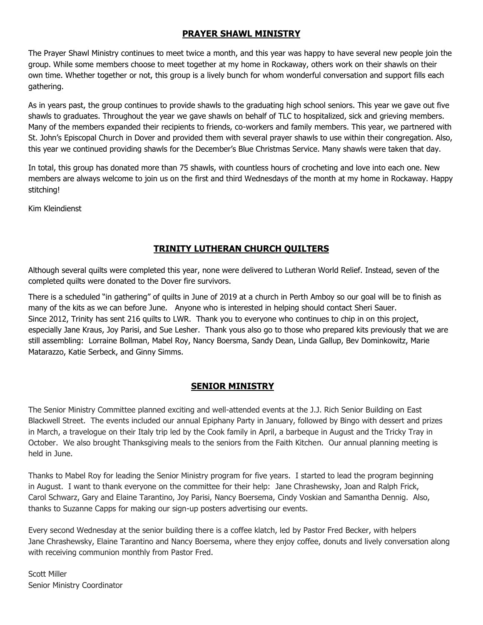## **PRAYER SHAWL MINISTRY**

The Prayer Shawl Ministry continues to meet twice a month, and this year was happy to have several new people join the group. While some members choose to meet together at my home in Rockaway, others work on their shawls on their own time. Whether together or not, this group is a lively bunch for whom wonderful conversation and support fills each gathering.

As in years past, the group continues to provide shawls to the graduating high school seniors. This year we gave out five shawls to graduates. Throughout the year we gave shawls on behalf of TLC to hospitalized, sick and grieving members. Many of the members expanded their recipients to friends, co-workers and family members. This year, we partnered with St. John's Episcopal Church in Dover and provided them with several prayer shawls to use within their congregation. Also, this year we continued providing shawls for the December's Blue Christmas Service. Many shawls were taken that day.

In total, this group has donated more than 75 shawls, with countless hours of crocheting and love into each one. New members are always welcome to join us on the first and third Wednesdays of the month at my home in Rockaway. Happy stitching!

Kim Kleindienst

## **TRINITY LUTHERAN CHURCH QUILTERS**

Although several quilts were completed this year, none were delivered to Lutheran World Relief. Instead, seven of the completed quilts were donated to the Dover fire survivors.

There is a scheduled "in gathering" of quilts in June of 2019 at a church in Perth Amboy so our goal will be to finish as many of the kits as we can before June. Anyone who is interested in helping should contact Sheri Sauer. Since 2012, Trinity has sent 216 quilts to LWR. Thank you to everyone who continues to chip in on this project, especially Jane Kraus, Joy Parisi, and Sue Lesher. Thank yous also go to those who prepared kits previously that we are still assembling: Lorraine Bollman, Mabel Roy, Nancy Boersma, Sandy Dean, Linda Gallup, Bev Dominkowitz, Marie Matarazzo, Katie Serbeck, and Ginny Simms.

## **SENIOR MINISTRY**

The Senior Ministry Committee planned exciting and well-attended events at the J.J. Rich Senior Building on East Blackwell Street. The events included our annual Epiphany Party in January, followed by Bingo with dessert and prizes in March, a travelogue on their Italy trip led by the Cook family in April, a barbeque in August and the Tricky Tray in October. We also brought Thanksgiving meals to the seniors from the Faith Kitchen. Our annual planning meeting is held in June.

Thanks to Mabel Roy for leading the Senior Ministry program for five years. I started to lead the program beginning in August. I want to thank everyone on the committee for their help: Jane Chrashewsky, Joan and Ralph Frick, Carol Schwarz, Gary and Elaine Tarantino, Joy Parisi, Nancy Boersema, Cindy Voskian and Samantha Dennig. Also, thanks to Suzanne Capps for making our sign-up posters advertising our events.

Every second Wednesday at the senior building there is a coffee klatch, led by Pastor Fred Becker, with helpers Jane Chrashewsky, Elaine Tarantino and Nancy Boersema, where they enjoy coffee, donuts and lively conversation along with receiving communion monthly from Pastor Fred.

Scott Miller Senior Ministry Coordinator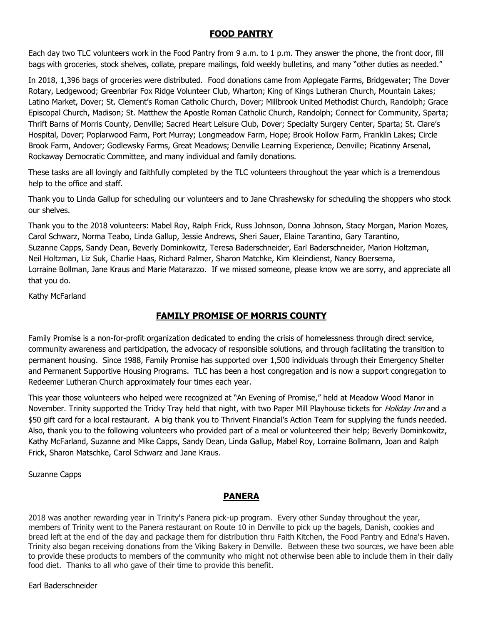## **FOOD PANTRY**

Each day two TLC volunteers work in the Food Pantry from 9 a.m. to 1 p.m. They answer the phone, the front door, fill bags with groceries, stock shelves, collate, prepare mailings, fold weekly bulletins, and many "other duties as needed."

In 2018, 1,396 bags of groceries were distributed. Food donations came from Applegate Farms, Bridgewater; The Dover Rotary, Ledgewood; Greenbriar Fox Ridge Volunteer Club, Wharton; King of Kings Lutheran Church, Mountain Lakes; Latino Market, Dover; St. Clement's Roman Catholic Church, Dover; Millbrook United Methodist Church, Randolph; Grace Episcopal Church, Madison; St. Matthew the Apostle Roman Catholic Church, Randolph; Connect for Community, Sparta; Thrift Barns of Morris County, Denville; Sacred Heart Leisure Club, Dover; Specialty Surgery Center, Sparta; St. Clare's Hospital, Dover; Poplarwood Farm, Port Murray; Longmeadow Farm, Hope; Brook Hollow Farm, Franklin Lakes; Circle Brook Farm, Andover; Godlewsky Farms, Great Meadows; Denville Learning Experience, Denville; Picatinny Arsenal, Rockaway Democratic Committee, and many individual and family donations.

These tasks are all lovingly and faithfully completed by the TLC volunteers throughout the year which is a tremendous help to the office and staff.

Thank you to Linda Gallup for scheduling our volunteers and to Jane Chrashewsky for scheduling the shoppers who stock our shelves.

Thank you to the 2018 volunteers: Mabel Roy, Ralph Frick, Russ Johnson, Donna Johnson, Stacy Morgan, Marion Mozes, Carol Schwarz, Norma Teabo, Linda Gallup, Jessie Andrews, Sheri Sauer, Elaine Tarantino, Gary Tarantino, Suzanne Capps, Sandy Dean, Beverly Dominkowitz, Teresa Baderschneider, Earl Baderschneider, Marion Holtzman, Neil Holtzman, Liz Suk, Charlie Haas, Richard Palmer, Sharon Matchke, Kim Kleindienst, Nancy Boersema, Lorraine Bollman, Jane Kraus and Marie Matarazzo. If we missed someone, please know we are sorry, and appreciate all that you do.

Kathy McFarland

## **FAMILY PROMISE OF MORRIS COUNTY**

Family Promise is a non-for-profit organization dedicated to ending the crisis of homelessness through direct service, community awareness and participation, the advocacy of responsible solutions, and through facilitating the transition to permanent housing. Since 1988, Family Promise has supported over 1,500 individuals through their Emergency Shelter and Permanent Supportive Housing Programs. TLC has been a host congregation and is now a support congregation to Redeemer Lutheran Church approximately four times each year.

This year those volunteers who helped were recognized at "An Evening of Promise," held at Meadow Wood Manor in November. Trinity supported the Tricky Tray held that night, with two Paper Mill Playhouse tickets for *Holiday Inn* and a \$50 gift card for a local restaurant. A big thank you to Thrivent Financial's Action Team for supplying the funds needed. Also, thank you to the following volunteers who provided part of a meal or volunteered their help; Beverly Dominkowitz, Kathy McFarland, Suzanne and Mike Capps, Sandy Dean, Linda Gallup, Mabel Roy, Lorraine Bollmann, Joan and Ralph Frick, Sharon Matschke, Carol Schwarz and Jane Kraus.

Suzanne Capps

## **PANERA**

2018 was another rewarding year in Trinity's Panera pick-up program. Every other Sunday throughout the year, members of Trinity went to the Panera restaurant on Route 10 in Denville to pick up the bagels, Danish, cookies and bread left at the end of the day and package them for distribution thru Faith Kitchen, the Food Pantry and Edna's Haven. Trinity also began receiving donations from the Viking Bakery in Denville. Between these two sources, we have been able to provide these products to members of the community who might not otherwise been able to include them in their daily food diet. Thanks to all who gave of their time to provide this benefit.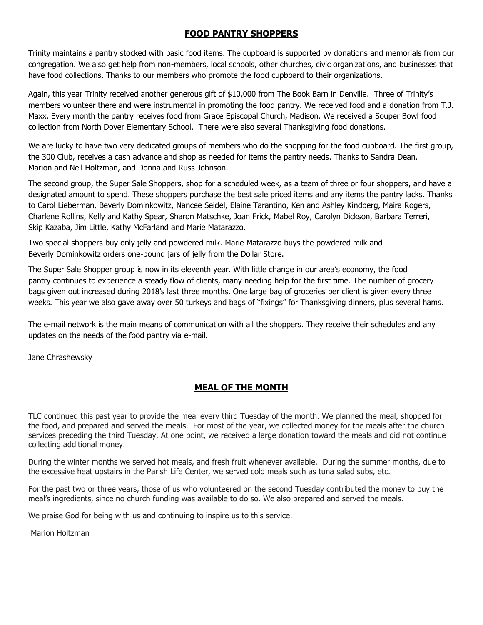## **FOOD PANTRY SHOPPERS**

Trinity maintains a pantry stocked with basic food items. The cupboard is supported by donations and memorials from our congregation. We also get help from non-members, local schools, other churches, civic organizations, and businesses that have food collections. Thanks to our members who promote the food cupboard to their organizations.

Again, this year Trinity received another generous gift of \$10,000 from The Book Barn in Denville. Three of Trinity's members volunteer there and were instrumental in promoting the food pantry. We received food and a donation from T.J. Maxx. Every month the pantry receives food from Grace Episcopal Church, Madison. We received a Souper Bowl food collection from North Dover Elementary School. There were also several Thanksgiving food donations.

We are lucky to have two very dedicated groups of members who do the shopping for the food cupboard. The first group, the 300 Club, receives a cash advance and shop as needed for items the pantry needs. Thanks to Sandra Dean, Marion and Neil Holtzman, and Donna and Russ Johnson.

The second group, the Super Sale Shoppers, shop for a scheduled week, as a team of three or four shoppers, and have a designated amount to spend. These shoppers purchase the best sale priced items and any items the pantry lacks. Thanks to Carol Lieberman, Beverly Dominkowitz, Nancee Seidel, Elaine Tarantino, Ken and Ashley Kindberg, Maira Rogers, Charlene Rollins, Kelly and Kathy Spear, Sharon Matschke, Joan Frick, Mabel Roy, Carolyn Dickson, Barbara Terreri, Skip Kazaba, Jim Little, Kathy McFarland and Marie Matarazzo.

Two special shoppers buy only jelly and powdered milk. Marie Matarazzo buys the powdered milk and Beverly Dominkowitz orders one-pound jars of jelly from the Dollar Store.

The Super Sale Shopper group is now in its eleventh year. With little change in our area's economy, the food pantry continues to experience a steady flow of clients, many needing help for the first time. The number of grocery bags given out increased during 2018's last three months. One large bag of groceries per client is given every three weeks. This year we also gave away over 50 turkeys and bags of "fixings" for Thanksgiving dinners, plus several hams.

The e-mail network is the main means of communication with all the shoppers. They receive their schedules and any updates on the needs of the food pantry via e-mail.

Jane Chrashewsky

# **MEAL OF THE MONTH**

TLC continued this past year to provide the meal every third Tuesday of the month. We planned the meal, shopped for the food, and prepared and served the meals. For most of the year, we collected money for the meals after the church services preceding the third Tuesday. At one point, we received a large donation toward the meals and did not continue collecting additional money.

During the winter months we served hot meals, and fresh fruit whenever available. During the summer months, due to the excessive heat upstairs in the Parish Life Center, we served cold meals such as tuna salad subs, etc.

For the past two or three years, those of us who volunteered on the second Tuesday contributed the money to buy the meal's ingredients, since no church funding was available to do so. We also prepared and served the meals.

We praise God for being with us and continuing to inspire us to this service.

Marion Holtzman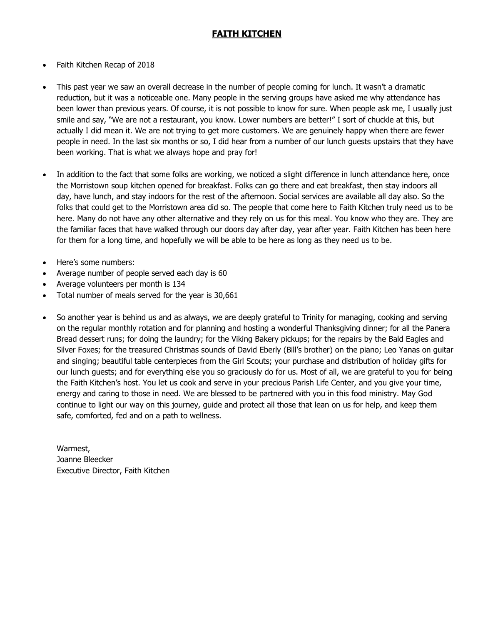## **FAITH KITCHEN**

- Faith Kitchen Recap of 2018
- This past year we saw an overall decrease in the number of people coming for lunch. It wasn't a dramatic reduction, but it was a noticeable one. Many people in the serving groups have asked me why attendance has been lower than previous years. Of course, it is not possible to know for sure. When people ask me, I usually just smile and say, "We are not a restaurant, you know. Lower numbers are better!" I sort of chuckle at this, but actually I did mean it. We are not trying to get more customers. We are genuinely happy when there are fewer people in need. In the last six months or so, I did hear from a number of our lunch guests upstairs that they have been working. That is what we always hope and pray for!
- In addition to the fact that some folks are working, we noticed a slight difference in lunch attendance here, once the Morristown soup kitchen opened for breakfast. Folks can go there and eat breakfast, then stay indoors all day, have lunch, and stay indoors for the rest of the afternoon. Social services are available all day also. So the folks that could get to the Morristown area did so. The people that come here to Faith Kitchen truly need us to be here. Many do not have any other alternative and they rely on us for this meal. You know who they are. They are the familiar faces that have walked through our doors day after day, year after year. Faith Kitchen has been here for them for a long time, and hopefully we will be able to be here as long as they need us to be.
- Here's some numbers:
- Average number of people served each day is 60
- Average volunteers per month is 134
- Total number of meals served for the year is 30,661
- So another year is behind us and as always, we are deeply grateful to Trinity for managing, cooking and serving on the regular monthly rotation and for planning and hosting a wonderful Thanksgiving dinner; for all the Panera Bread dessert runs; for doing the laundry; for the Viking Bakery pickups; for the repairs by the Bald Eagles and Silver Foxes; for the treasured Christmas sounds of David Eberly (Bill's brother) on the piano; Leo Yanas on guitar and singing; beautiful table centerpieces from the Girl Scouts; your purchase and distribution of holiday gifts for our lunch guests; and for everything else you so graciously do for us. Most of all, we are grateful to you for being the Faith Kitchen's host. You let us cook and serve in your precious Parish Life Center, and you give your time, energy and caring to those in need. We are blessed to be partnered with you in this food ministry. May God continue to light our way on this journey, guide and protect all those that lean on us for help, and keep them safe, comforted, fed and on a path to wellness.

Warmest, Joanne Bleecker Executive Director, Faith Kitchen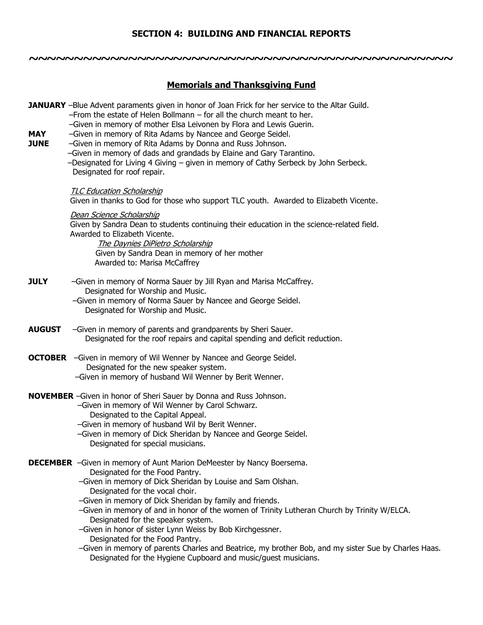## **SECTION 4: BUILDING AND FINANCIAL REPORTS**

**~~~~~~~~~~~~~~~~~~~~~~~~~~~~~~~~~~~~~~~~~~~~~~~**

**Memorials and Thanksgiving Fund JANUARY** –Blue Advent paraments given in honor of Joan Frick for her service to the Altar Guild. –From the estate of Helen Bollmann – for all the church meant to her. –Given in memory of mother Elsa Leivonen by Flora and Lewis Guerin. **MAY** –Given in memory of Rita Adams by Nancee and George Seidel. **JUNE** –Given in memory of Rita Adams by Donna and Russ Johnson. –Given in memory of dads and grandads by Elaine and Gary Tarantino. –Designated for Living 4 Giving – given in memory of Cathy Serbeck by John Serbeck. Designated for roof repair. TLC Education Scholarship Given in thanks to God for those who support TLC youth. Awarded to Elizabeth Vicente. Dean Science Scholarship Given by Sandra Dean to students continuing their education in the science-related field. Awarded to Elizabeth Vicente. The Daynies DiPietro Scholarship Given by Sandra Dean in memory of her mother Awarded to: Marisa McCaffrey **JULY** –Given in memory of Norma Sauer by Jill Ryan and Marisa McCaffrey. Designated for Worship and Music. –Given in memory of Norma Sauer by Nancee and George Seidel. Designated for Worship and Music. **AUGUST** –Given in memory of parents and grandparents by Sheri Sauer. Designated for the roof repairs and capital spending and deficit reduction. **OCTOBER** –Given in memory of Wil Wenner by Nancee and George Seidel. Designated for the new speaker system. –Given in memory of husband Wil Wenner by Berit Wenner. **NOVEMBER** –Given in honor of Sheri Sauer by Donna and Russ Johnson. –Given in memory of Wil Wenner by Carol Schwarz. Designated to the Capital Appeal. –Given in memory of husband Wil by Berit Wenner. –Given in memory of Dick Sheridan by Nancee and George Seidel. Designated for special musicians. **DECEMBER** –Given in memory of Aunt Marion DeMeester by Nancy Boersema. Designated for the Food Pantry. –Given in memory of Dick Sheridan by Louise and Sam Olshan. Designated for the vocal choir. –Given in memory of Dick Sheridan by family and friends. –Given in memory of and in honor of the women of Trinity Lutheran Church by Trinity W/ELCA. Designated for the speaker system. –Given in honor of sister Lynn Weiss by Bob Kirchgessner. Designated for the Food Pantry. –Given in memory of parents Charles and Beatrice, my brother Bob, and my sister Sue by Charles Haas.

Designated for the Hygiene Cupboard and music/guest musicians.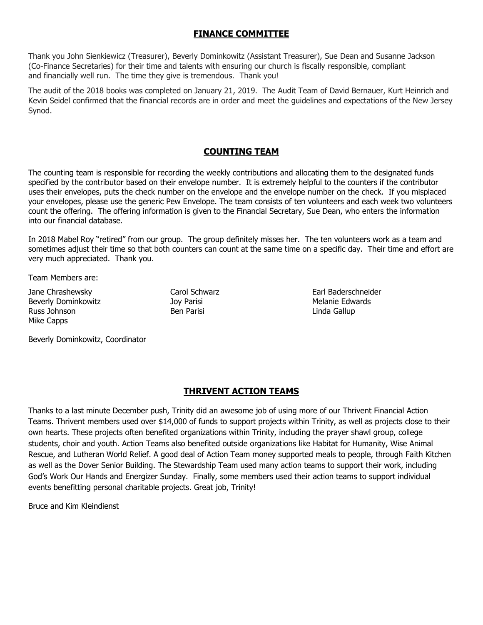## **FINANCE COMMITTEE**

Thank you John Sienkiewicz (Treasurer), Beverly Dominkowitz (Assistant Treasurer), Sue Dean and Susanne Jackson (Co-Finance Secretaries) for their time and talents with ensuring our church is fiscally responsible, compliant and financially well run. The time they give is tremendous. Thank you!

The audit of the 2018 books was completed on January 21, 2019. The Audit Team of David Bernauer, Kurt Heinrich and Kevin Seidel confirmed that the financial records are in order and meet the guidelines and expectations of the New Jersey Synod.

## **COUNTING TEAM**

The counting team is responsible for recording the weekly contributions and allocating them to the designated funds specified by the contributor based on their envelope number. It is extremely helpful to the counters if the contributor uses their envelopes, puts the check number on the envelope and the envelope number on the check. If you misplaced your envelopes, please use the generic Pew Envelope. The team consists of ten volunteers and each week two volunteers count the offering. The offering information is given to the Financial Secretary, Sue Dean, who enters the information into our financial database.

In 2018 Mabel Roy "retired" from our group. The group definitely misses her. The ten volunteers work as a team and sometimes adjust their time so that both counters can count at the same time on a specific day. Their time and effort are very much appreciated. Thank you.

Team Members are:

Jane Chrashewsky Carol Schwarz Earl Baderschneider Beverly Dominkowitz **Melanie Edwards** Joy Parisi **Melanie Edwards** Melanie Edwards Russ Johnson Ben Parisi Linda Gallup Mike Capps

Beverly Dominkowitz, Coordinator

## **THRIVENT ACTION TEAMS**

Thanks to a last minute December push, Trinity did an awesome job of using more of our Thrivent Financial Action Teams. Thrivent members used over \$14,000 of funds to support projects within Trinity, as well as projects close to their own hearts. These projects often benefited organizations within Trinity, including the prayer shawl group, college students, choir and youth. Action Teams also benefited outside organizations like Habitat for Humanity, Wise Animal Rescue, and Lutheran World Relief. A good deal of Action Team money supported meals to people, through Faith Kitchen as well as the Dover Senior Building. The Stewardship Team used many action teams to support their work, including God's Work Our Hands and Energizer Sunday. Finally, some members used their action teams to support individual events benefitting personal charitable projects. Great job, Trinity!

Bruce and Kim Kleindienst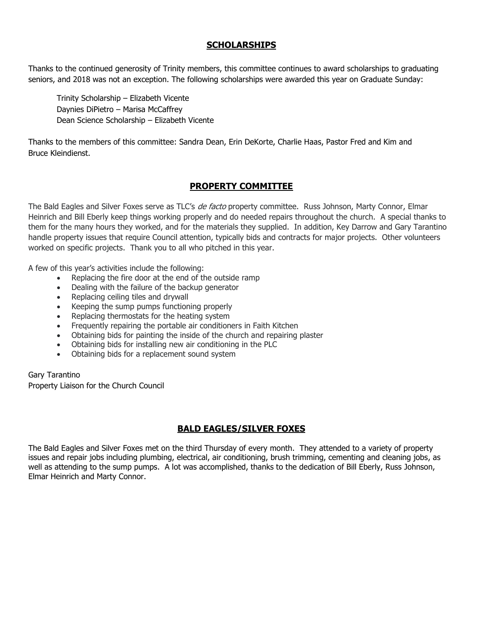## **SCHOLARSHIPS**

Thanks to the continued generosity of Trinity members, this committee continues to award scholarships to graduating seniors, and 2018 was not an exception. The following scholarships were awarded this year on Graduate Sunday:

Trinity Scholarship – Elizabeth Vicente Daynies DiPietro – Marisa McCaffrey Dean Science Scholarship – Elizabeth Vicente

Thanks to the members of this committee: Sandra Dean, Erin DeKorte, Charlie Haas, Pastor Fred and Kim and Bruce Kleindienst.

## **PROPERTY COMMITTEE**

The Bald Eagles and Silver Foxes serve as TLC's *de facto* property committee. Russ Johnson, Marty Connor, Elmar Heinrich and Bill Eberly keep things working properly and do needed repairs throughout the church. A special thanks to them for the many hours they worked, and for the materials they supplied. In addition, Key Darrow and Gary Tarantino handle property issues that require Council attention, typically bids and contracts for major projects. Other volunteers worked on specific projects. Thank you to all who pitched in this year.

A few of this year's activities include the following:

- Replacing the fire door at the end of the outside ramp
- Dealing with the failure of the backup generator
- Replacing ceiling tiles and drywall
- Keeping the sump pumps functioning properly
- Replacing thermostats for the heating system
- Frequently repairing the portable air conditioners in Faith Kitchen
- Obtaining bids for painting the inside of the church and repairing plaster
- Obtaining bids for installing new air conditioning in the PLC
- Obtaining bids for a replacement sound system

Gary Tarantino Property Liaison for the Church Council

## **BALD EAGLES/SILVER FOXES**

The Bald Eagles and Silver Foxes met on the third Thursday of every month. They attended to a variety of property issues and repair jobs including plumbing, electrical, air conditioning, brush trimming, cementing and cleaning jobs, as well as attending to the sump pumps. A lot was accomplished, thanks to the dedication of Bill Eberly, Russ Johnson, Elmar Heinrich and Marty Connor.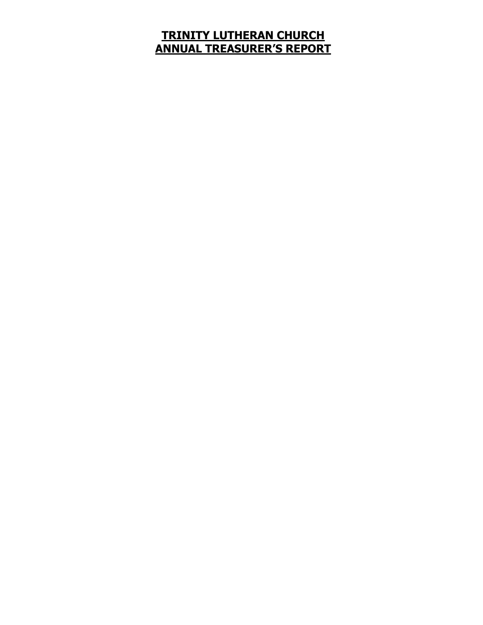# **TRINITY LUTHERAN CHURCH ANNUAL TREASURER'S REPORT**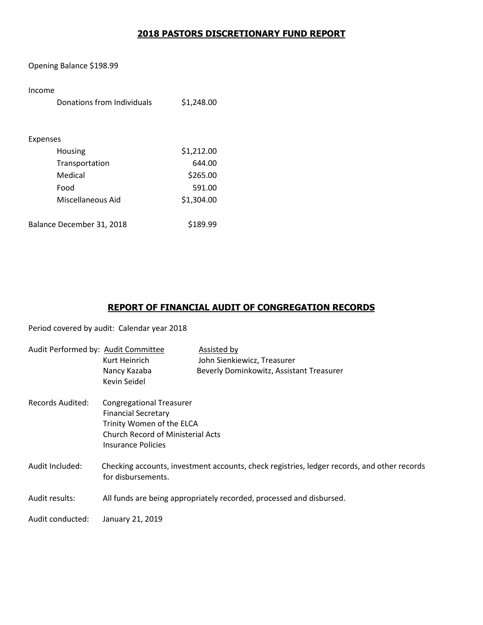## **2018 PASTORS DISCRETIONARY FUND REPORT**

Opening Balance \$198.99

#### Income

| Donations from Individuals | \$1,248.00 |
|----------------------------|------------|
|                            |            |
| Expenses                   |            |
| Housing                    | \$1,212.00 |
| Transportation             | 644.00     |
| Medical                    | \$265.00   |
| Food                       | 591.00     |
| Miscellaneous Aid          | \$1,304.00 |
|                            |            |
| Balance December 31, 2018  | \$189.99   |

## **REPORT OF FINANCIAL AUDIT OF CONGREGATION RECORDS**

Period covered by audit: Calendar year 2018

| Audit Performed by: Audit Committee | Kurt Heinrich<br>Nancy Kazaba<br>Kevin Seidel                                                                                                                | Assisted by<br>John Sienkiewicz, Treasurer<br>Beverly Dominkowitz, Assistant Treasurer      |
|-------------------------------------|--------------------------------------------------------------------------------------------------------------------------------------------------------------|---------------------------------------------------------------------------------------------|
| Records Audited:                    | <b>Congregational Treasurer</b><br><b>Financial Secretary</b><br>Trinity Women of the ELCA<br><b>Church Record of Ministerial Acts</b><br>Insurance Policies |                                                                                             |
| Audit Included:                     | for disbursements.                                                                                                                                           | Checking accounts, investment accounts, check registries, ledger records, and other records |
| Audit results:                      |                                                                                                                                                              | All funds are being appropriately recorded, processed and disbursed.                        |
| Audit conducted:                    | January 21, 2019                                                                                                                                             |                                                                                             |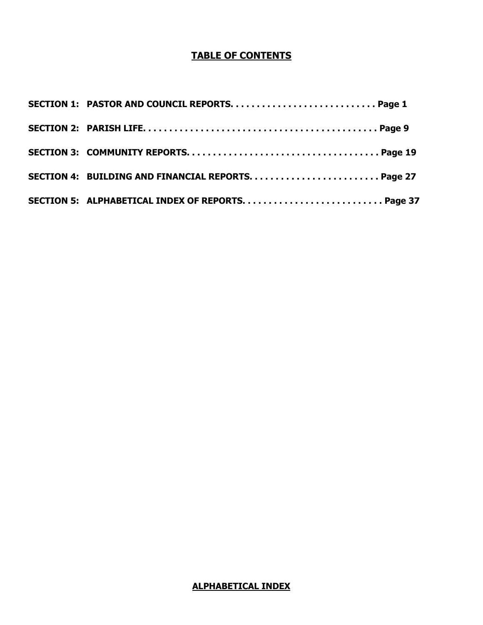# **TABLE OF CONTENTS**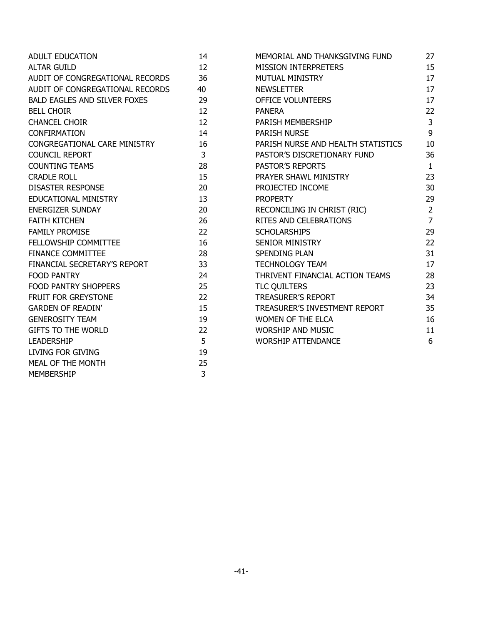| <b>ADULT EDUCATION</b>              | 14 | MEMORIAL AND THANKSGIVING FUND     | 27             |
|-------------------------------------|----|------------------------------------|----------------|
| <b>ALTAR GUILD</b>                  | 12 | <b>MISSION INTERPRETERS</b>        | 15             |
| AUDIT OF CONGREGATIONAL RECORDS     | 36 | <b>MUTUAL MINISTRY</b>             | 17             |
| AUDIT OF CONGREGATIONAL RECORDS     | 40 | <b>NEWSLETTER</b>                  | 17             |
| <b>BALD EAGLES AND SILVER FOXES</b> | 29 | OFFICE VOLUNTEERS                  | 17             |
| <b>BELL CHOIR</b>                   | 12 | <b>PANERA</b>                      | 22             |
| <b>CHANCEL CHOIR</b>                | 12 | PARISH MEMBERSHIP                  | $\mathbf{3}$   |
| <b>CONFIRMATION</b>                 | 14 | <b>PARISH NURSE</b>                | 9              |
| CONGREGATIONAL CARE MINISTRY        | 16 | PARISH NURSE AND HEALTH STATISTICS | 10             |
| <b>COUNCIL REPORT</b>               | 3  | PASTOR'S DISCRETIONARY FUND        | 36             |
| <b>COUNTING TEAMS</b>               | 28 | PASTOR'S REPORTS                   | $\mathbf{1}$   |
| <b>CRADLE ROLL</b>                  | 15 | PRAYER SHAWL MINISTRY              | 23             |
| <b>DISASTER RESPONSE</b>            | 20 | PROJECTED INCOME                   | 30             |
| EDUCATIONAL MINISTRY                | 13 | <b>PROPERTY</b>                    | 29             |
| <b>ENERGIZER SUNDAY</b>             | 20 | RECONCILING IN CHRIST (RIC)        | $\overline{2}$ |
| <b>FAITH KITCHEN</b>                | 26 | RITES AND CELEBRATIONS             | $\overline{7}$ |
| <b>FAMILY PROMISE</b>               | 22 | <b>SCHOLARSHIPS</b>                | 29             |
| FELLOWSHIP COMMITTEE                | 16 | <b>SENIOR MINISTRY</b>             | 22             |
| <b>FINANCE COMMITTEE</b>            | 28 | <b>SPENDING PLAN</b>               | 31             |
| FINANCIAL SECRETARY'S REPORT        | 33 | TECHNOLOGY TEAM                    | 17             |
| <b>FOOD PANTRY</b>                  | 24 | THRIVENT FINANCIAL ACTION TEAMS    | 28             |
| <b>FOOD PANTRY SHOPPERS</b>         | 25 | <b>TLC QUILTERS</b>                | 23             |
| FRUIT FOR GREYSTONE                 | 22 | <b>TREASURER'S REPORT</b>          | 34             |
| <b>GARDEN OF READIN'</b>            | 15 | TREASURER'S INVESTMENT REPORT      | 35             |
| <b>GENEROSITY TEAM</b>              | 19 | <b>WOMEN OF THE ELCA</b>           | 16             |
| <b>GIFTS TO THE WORLD</b>           | 22 | <b>WORSHIP AND MUSIC</b>           | 11             |
| <b>LEADERSHIP</b>                   | 5  | <b>WORSHIP ATTENDANCE</b>          | 6              |
| LIVING FOR GIVING                   | 19 |                                    |                |
| MEAL OF THE MONTH                   | 25 |                                    |                |
| <b>MEMBERSHIP</b>                   | 3  |                                    |                |